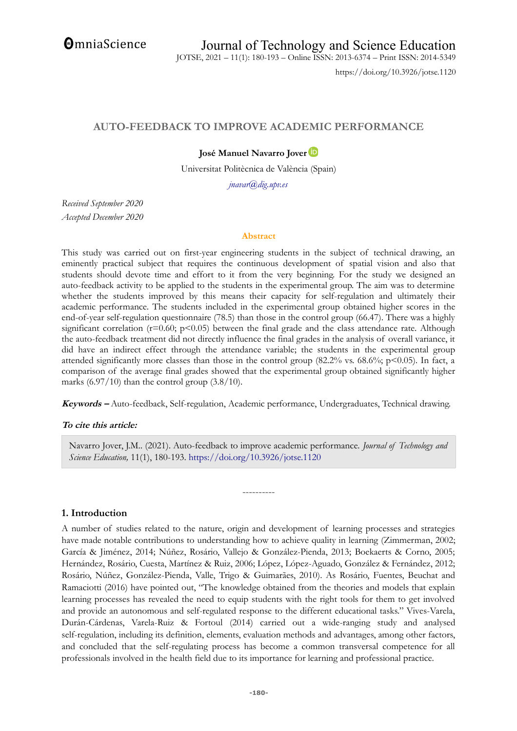**OmniaScience** 

JOTSE, 2021 – 11(1): 180-193 – Online ISSN: 2013-6374 – Print ISSN: 2014-5349

https://doi.org/10.3926/jotse.1120

# **AUTO-FEEDBACK TO IMPROVE ACADEMIC PERFORMANCE**

## **José Manuel Navarro Jover**

Universitat Politècnica de València (Spain)

*[jnavar@dig.upv.es](mailto:jnavar@dig.upv.es)*

*Received September 2020 Accepted December 2020*

#### **Abstract**

This study was carried out on first-year engineering students in the subject of technical drawing, an eminently practical subject that requires the continuous development of spatial vision and also that students should devote time and effort to it from the very beginning. For the study we designed an auto-feedback activity to be applied to the students in the experimental group. The aim was to determine whether the students improved by this means their capacity for self-regulation and ultimately their academic performance. The students included in the experimental group obtained higher scores in the end-of-year self-regulation questionnaire (78.5) than those in the control group (66.47). There was a highly significant correlation ( $r=0.60$ ;  $p<0.05$ ) between the final grade and the class attendance rate. Although the auto-feedback treatment did not directly influence the final grades in the analysis of overall variance, it did have an indirect effect through the attendance variable; the students in the experimental group attended significantly more classes than those in the control group (82.2% vs. 68.6%; p<0.05). In fact, a comparison of the average final grades showed that the experimental group obtained significantly higher marks  $(6.97/10)$  than the control group  $(3.8/10)$ .

**Keywords –** Auto-feedback, Self-regulation, Academic performance, Undergraduates, Technical drawing.

### **To cite this article:**

Navarro Jover, J.M.. (2021). Auto-feedback to improve academic performance. *Journal of Technology and Science Education,* 11(1), 180-193.<https://doi.org/10.3926/jotse.1120>

----------

### **1. Introduction**

A number of studies related to the nature, origin and development of learning processes and strategies have made notable contributions to understanding how to achieve quality in learning (Zimmerman, 2002; García & Jiménez, 2014; Núñez, Rosário, Vallejo & González-Pienda, 2013; Boekaerts & Corno, 2005; Hernández, Rosário, Cuesta, Martínez & Ruiz, 2006; López, López-Aguado, González & Fernández, 2012; Rosário, Núñez, González-Pienda, Valle, Trigo & Guimarães, 2010). As Rosário, Fuentes, Beuchat and Ramaciotti (2016) have pointed out, "The knowledge obtained from the theories and models that explain learning processes has revealed the need to equip students with the right tools for them to get involved and provide an autonomous and self-regulated response to the different educational tasks." Vives-Varela, Durán-Cárdenas, Varela-Ruiz & Fortoul (2014) carried out a wide-ranging study and analysed self-regulation, including its definition, elements, evaluation methods and advantages, among other factors, and concluded that the self-regulating process has become a common transversal competence for all professionals involved in the health field due to its importance for learning and professional practice.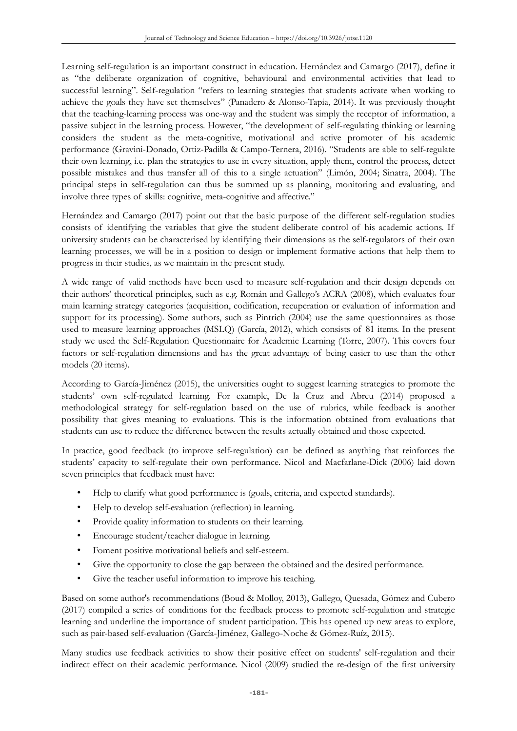Learning self-regulation is an important construct in education. Hernández and Camargo (2017), define it as "the deliberate organization of cognitive, behavioural and environmental activities that lead to successful learning". Self-regulation "refers to learning strategies that students activate when working to achieve the goals they have set themselves" (Panadero & Alonso-Tapia, 2014). It was previously thought that the teaching-learning process was one-way and the student was simply the receptor of information, a passive subject in the learning process. However, "the development of self-regulating thinking or learning considers the student as the meta-cognitive, motivational and active promoter of his academic performance (Gravini-Donado, Ortiz-Padilla & Campo-Ternera, 2016). "Students are able to self-regulate their own learning, i.e. plan the strategies to use in every situation, apply them, control the process, detect possible mistakes and thus transfer all of this to a single actuation" (Limón, 2004; Sinatra, 2004). The principal steps in self-regulation can thus be summed up as planning, monitoring and evaluating, and involve three types of skills: cognitive, meta-cognitive and affective."

Hernández and Camargo (2017) point out that the basic purpose of the different self-regulation studies consists of identifying the variables that give the student deliberate control of his academic actions. If university students can be characterised by identifying their dimensions as the self-regulators of their own learning processes, we will be in a position to design or implement formative actions that help them to progress in their studies, as we maintain in the present study.

A wide range of valid methods have been used to measure self-regulation and their design depends on their authors' theoretical principles, such as e.g. Román and Gallego's ACRA (2008), which evaluates four main learning strategy categories (acquisition, codification, recuperation or evaluation of information and support for its processing). Some authors, such as Pintrich (2004) use the same questionnaires as those used to measure learning approaches (MSLQ) (García, 2012), which consists of 81 items. In the present study we used the Self-Regulation Questionnaire for Academic Learning (Torre, 2007). This covers four factors or self-regulation dimensions and has the great advantage of being easier to use than the other models (20 items).

According to García-Jiménez (2015), the universities ought to suggest learning strategies to promote the students' own self-regulated learning. For example, De la Cruz and Abreu (2014) proposed a methodological strategy for self-regulation based on the use of rubrics, while feedback is another possibility that gives meaning to evaluations. This is the information obtained from evaluations that students can use to reduce the difference between the results actually obtained and those expected.

In practice, good feedback (to improve self-regulation) can be defined as anything that reinforces the students' capacity to self-regulate their own performance. Nicol and Macfarlane-Dick (2006) laid down seven principles that feedback must have:

- Help to clarify what good performance is (goals, criteria, and expected standards).
- Help to develop self-evaluation (reflection) in learning.
- Provide quality information to students on their learning.
- Encourage student/teacher dialogue in learning.
- Foment positive motivational beliefs and self-esteem.
- Give the opportunity to close the gap between the obtained and the desired performance.
- Give the teacher useful information to improve his teaching.

Based on some author's recommendations (Boud & Molloy, 2013), Gallego, Quesada, Gómez and Cubero (2017) compiled a series of conditions for the feedback process to promote self-regulation and strategic learning and underline the importance of student participation. This has opened up new areas to explore, such as pair-based self-evaluation (García-Jiménez, Gallego-Noche & Gómez-Ruíz, 2015).

Many studies use feedback activities to show their positive effect on students' self-regulation and their indirect effect on their academic performance. Nicol (2009) studied the re-design of the first university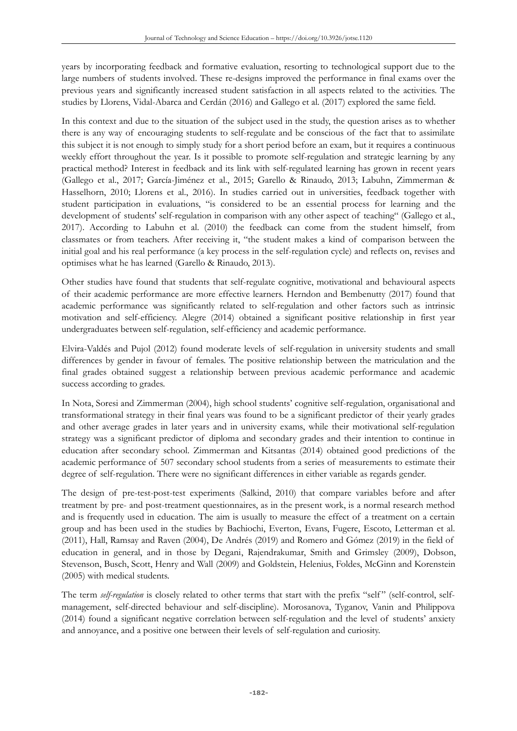years by incorporating feedback and formative evaluation, resorting to technological support due to the large numbers of students involved. These re-designs improved the performance in final exams over the previous years and significantly increased student satisfaction in all aspects related to the activities. The studies by Llorens, Vidal-Abarca and Cerdán (2016) and Gallego et al. (2017) explored the same field.

In this context and due to the situation of the subject used in the study, the question arises as to whether there is any way of encouraging students to self-regulate and be conscious of the fact that to assimilate this subject it is not enough to simply study for a short period before an exam, but it requires a continuous weekly effort throughout the year. Is it possible to promote self-regulation and strategic learning by any practical method? Interest in feedback and its link with self-regulated learning has grown in recent years (Gallego et al., 2017; García-Jiménez et al., 2015; Garello & Rinaudo, 2013; Labuhn, Zimmerman & Hasselhorn, 2010; Llorens et al., 2016). In studies carried out in universities, feedback together with student participation in evaluations, "is considered to be an essential process for learning and the development of students' self-regulation in comparison with any other aspect of teaching" (Gallego et al., 2017). According to Labuhn et al. (2010) the feedback can come from the student himself, from classmates or from teachers. After receiving it, "the student makes a kind of comparison between the initial goal and his real performance (a key process in the self-regulation cycle) and reflects on, revises and optimises what he has learned (Garello & Rinaudo, 2013).

Other studies have found that students that self-regulate cognitive, motivational and behavioural aspects of their academic performance are more effective learners. Herndon and Bembenutty (2017) found that academic performance was significantly related to self-regulation and other factors such as intrinsic motivation and self-efficiency. Alegre (2014) obtained a significant positive relationship in first year undergraduates between self-regulation, self-efficiency and academic performance.

Elvira-Valdés and Pujol (2012) found moderate levels of self-regulation in university students and small differences by gender in favour of females. The positive relationship between the matriculation and the final grades obtained suggest a relationship between previous academic performance and academic success according to grades.

In Nota, Soresi and Zimmerman (2004), high school students' cognitive self-regulation, organisational and transformational strategy in their final years was found to be a significant predictor of their yearly grades and other average grades in later years and in university exams, while their motivational self-regulation strategy was a significant predictor of diploma and secondary grades and their intention to continue in education after secondary school. Zimmerman and Kitsantas (2014) obtained good predictions of the academic performance of 507 secondary school students from a series of measurements to estimate their degree of self-regulation. There were no significant differences in either variable as regards gender.

The design of pre-test-post-test experiments (Salkind, 2010) that compare variables before and after treatment by pre- and post-treatment questionnaires, as in the present work, is a normal research method and is frequently used in education. The aim is usually to measure the effect of a treatment on a certain group and has been used in the studies by Bachiochi, Everton, Evans, Fugere, Escoto, Letterman et al. (2011), Hall, Ramsay and Raven (2004), De Andrés (2019) and Romero and Gómez (2019) in the field of education in general, and in those by Degani, Rajendrakumar, Smith and Grimsley (2009), Dobson, Stevenson, Busch, Scott, Henry and Wall (2009) and Goldstein, Helenius, Foldes, McGinn and Korenstein (2005) with medical students.

The term *self-regulation* is closely related to other terms that start with the prefix "self" (self-control, selfmanagement, self-directed behaviour and self-discipline). Morosanova, Tyganov, Vanin and Philippova (2014) found a significant negative correlation between self-regulation and the level of students' anxiety and annoyance, and a positive one between their levels of self-regulation and curiosity.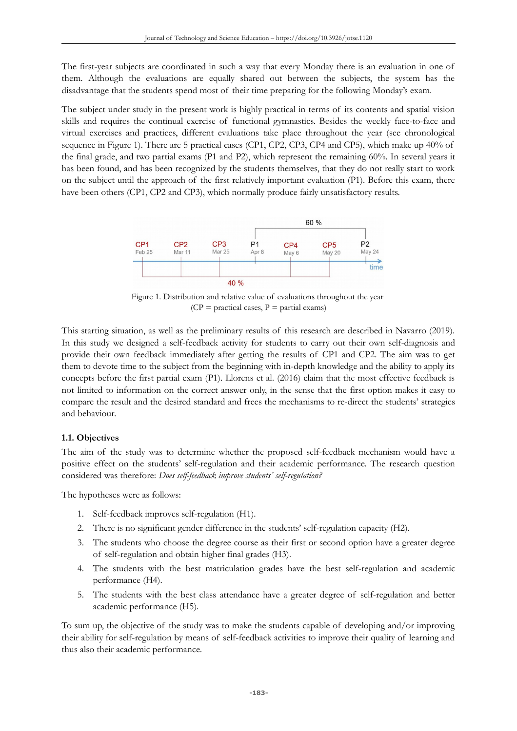The first-year subjects are coordinated in such a way that every Monday there is an evaluation in one of them. Although the evaluations are equally shared out between the subjects, the system has the disadvantage that the students spend most of their time preparing for the following Monday's exam.

The subject under study in the present work is highly practical in terms of its contents and spatial vision skills and requires the continual exercise of functional gymnastics. Besides the weekly face-to-face and virtual exercises and practices, different evaluations take place throughout the year (see chronological sequence in Figure 1). There are 5 practical cases (CP1, CP2, CP3, CP4 and CP5), which make up 40% of the final grade, and two partial exams (P1 and P2), which represent the remaining 60%. In several years it has been found, and has been recognized by the students themselves, that they do not really start to work on the subject until the approach of the first relatively important evaluation (P1). Before this exam, there have been others (CP1, CP2 and CP3), which normally produce fairly unsatisfactory results.



Figure 1. Distribution and relative value of evaluations throughout the year  $(CP = \text{practical cases}, P = \text{partial exams})$ 

This starting situation, as well as the preliminary results of this research are described in Navarro (2019). In this study we designed a self-feedback activity for students to carry out their own self-diagnosis and provide their own feedback immediately after getting the results of CP1 and CP2. The aim was to get them to devote time to the subject from the beginning with in-depth knowledge and the ability to apply its concepts before the first partial exam (P1). Llorens et al. (2016) claim that the most effective feedback is not limited to information on the correct answer only, in the sense that the first option makes it easy to compare the result and the desired standard and frees the mechanisms to re-direct the students' strategies and behaviour.

### **1.1. Objectives**

The aim of the study was to determine whether the proposed self-feedback mechanism would have a positive effect on the students' self-regulation and their academic performance. The research question considered was therefore: *Does self-feedback improve students' self-regulation?*

The hypotheses were as follows:

- 1. Self-feedback improves self-regulation (H1).
- 2. There is no significant gender difference in the students' self-regulation capacity (H2).
- 3. The students who choose the degree course as their first or second option have a greater degree of self-regulation and obtain higher final grades (H3).
- 4. The students with the best matriculation grades have the best self-regulation and academic performance (H4).
- 5. The students with the best class attendance have a greater degree of self-regulation and better academic performance (H5).

To sum up, the objective of the study was to make the students capable of developing and/or improving their ability for self-regulation by means of self-feedback activities to improve their quality of learning and thus also their academic performance.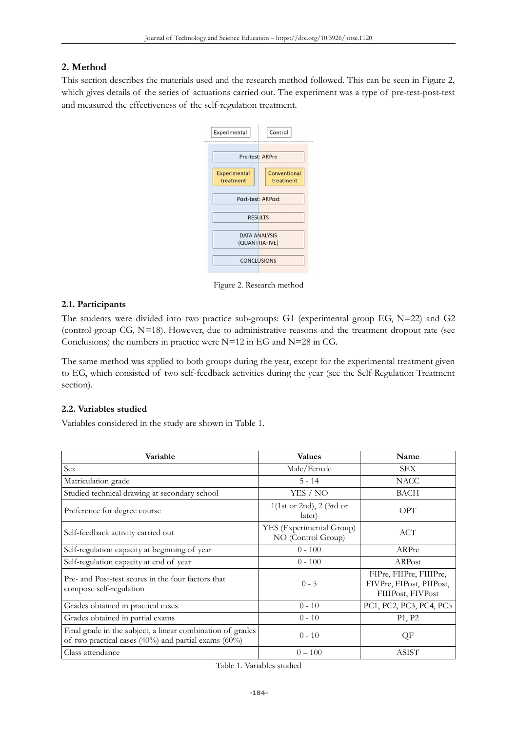# **2. Method**

This section describes the materials used and the research method followed. This can be seen in Figure 2, which gives details of the series of actuations carried out. The experiment was a type of pre-test-post-test and measured the effectiveness of the self-regulation treatment.

| Experimental                           | Control                   |
|----------------------------------------|---------------------------|
| Pre-test: ARPre                        |                           |
| <b>Experimental</b><br>treatment       | Conventional<br>treatment |
| Post-test: ARPost                      |                           |
| <b>RESULTS</b>                         |                           |
| <b>DATA ANALYSIS</b><br>(QUANTITATIVE) |                           |
| <b>CONCLUSIONS</b>                     |                           |
|                                        |                           |

Figure 2. Research method

## **2.1. Participants**

The students were divided into two practice sub-groups: G1 (experimental group EG, N=22) and G2 (control group CG,  $N=18$ ). However, due to administrative reasons and the treatment dropout rate (see Conclusions) the numbers in practice were  $N=12$  in EG and  $N=28$  in CG.

The same method was applied to both groups during the year, except for the experimental treatment given to EG, which consisted of two self-feedback activities during the year (see the Self-Regulation Treatment section).

## **2.2. Variables studied**

Variables considered in the study are shown in Table 1.

| Variable                                                                                                           | <b>Values</b>                                  | Name                                                                     |
|--------------------------------------------------------------------------------------------------------------------|------------------------------------------------|--------------------------------------------------------------------------|
| Sex                                                                                                                | Male/Female                                    | <b>SEX</b>                                                               |
| Matriculation grade                                                                                                | $5 - 14$                                       | <b>NACC</b>                                                              |
| Studied technical drawing at secondary school                                                                      | YES / NO                                       | BACH                                                                     |
| Preference for degree course                                                                                       | $1$ (1st or 2nd), 2 (3rd or<br>later)          | OPT                                                                      |
| Self-feedback activity carried out                                                                                 | YES (Experimental Group)<br>NO (Control Group) | ACT                                                                      |
| Self-regulation capacity at beginning of year                                                                      | $0 - 100$                                      | ARPre                                                                    |
| Self-regulation capacity at end of year                                                                            | $0 - 100$                                      | ARPost                                                                   |
| Pre- and Post-test scores in the four factors that<br>compose self-regulation                                      | $0 - 5$                                        | FIPre, FIIPre, FIIIPre,<br>FIVPre, FIPost, PIIPost,<br>FIIIPost, FIVPost |
| Grades obtained in practical cases                                                                                 | $0 - 10$                                       | PC1, PC2, PC3, PC4, PC5                                                  |
| Grades obtained in partial exams                                                                                   | $0 - 10$                                       | P <sub>1</sub> , P <sub>2</sub>                                          |
| Final grade in the subject, a linear combination of grades<br>of two practical cases (40%) and partial exams (60%) | $0 - 10$                                       | QF                                                                       |
| Class attendance                                                                                                   | $0 - 100$                                      | <b>ASIST</b>                                                             |

Table 1. Variables studied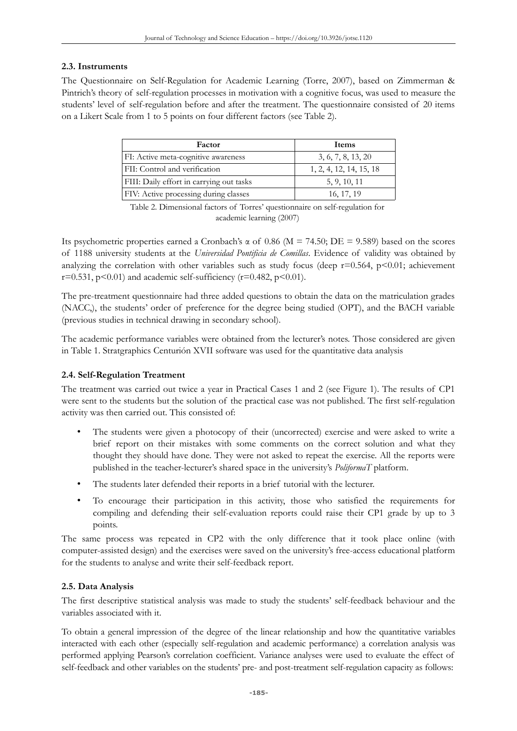## **2.3. Instruments**

The Questionnaire on Self-Regulation for Academic Learning (Torre, 2007), based on Zimmerman & Pintrich's theory of self-regulation processes in motivation with a cognitive focus, was used to measure the students' level of self-regulation before and after the treatment. The questionnaire consisted of 20 items on a Likert Scale from 1 to 5 points on four different factors (see Table 2).

| Factor                                   | Items                   |
|------------------------------------------|-------------------------|
| FI: Active meta-cognitive awareness      | 3, 6, 7, 8, 13, 20      |
| FII: Control and verification            | 1, 2, 4, 12, 14, 15, 18 |
| FIII: Daily effort in carrying out tasks | 5, 9, 10, 11            |
| FIV: Active processing during classes    | 16, 17, 19              |

Table 2. Dimensional factors of Torres' questionnaire on self-regulation for academic learning (2007)

Its psychometric properties earned a Cronbach's α of 0.86 (M = 74.50; DE = 9.589) based on the scores of 1188 university students at the *Universidad Pontificia de Comillas*. Evidence of validity was obtained by analyzing the correlation with other variables such as study focus (deep  $r=0.564$ , p<0.01; achievement  $r=0.531$ ,  $p<0.01$ ) and academic self-sufficiency ( $r=0.482$ ,  $p<0.01$ ).

The pre-treatment questionnaire had three added questions to obtain the data on the matriculation grades (NACC,), the students' order of preference for the degree being studied (OPT), and the BACH variable (previous studies in technical drawing in secondary school).

The academic performance variables were obtained from the lecturer's notes. Those considered are given in Table 1. Stratgraphics Centurión XVII software was used for the quantitative data analysis

## **2.4. Self-Regulation Treatment**

The treatment was carried out twice a year in Practical Cases 1 and 2 (see Figure 1). The results of CP1 were sent to the students but the solution of the practical case was not published. The first self-regulation activity was then carried out. This consisted of:

- The students were given a photocopy of their (uncorrected) exercise and were asked to write a brief report on their mistakes with some comments on the correct solution and what they thought they should have done. They were not asked to repeat the exercise. All the reports were published in the teacher-lecturer's shared space in the university's *PoliformaT* platform.
- The students later defended their reports in a brief tutorial with the lecturer.
- To encourage their participation in this activity, those who satisfied the requirements for compiling and defending their self-evaluation reports could raise their CP1 grade by up to 3 points.

The same process was repeated in CP2 with the only difference that it took place online (with computer-assisted design) and the exercises were saved on the university's free-access educational platform for the students to analyse and write their self-feedback report.

## **2.5. Data Analysis**

The first descriptive statistical analysis was made to study the students' self-feedback behaviour and the variables associated with it.

To obtain a general impression of the degree of the linear relationship and how the quantitative variables interacted with each other (especially self-regulation and academic performance) a correlation analysis was performed applying Pearson's correlation coefficient. Variance analyses were used to evaluate the effect of self-feedback and other variables on the students' pre- and post-treatment self-regulation capacity as follows: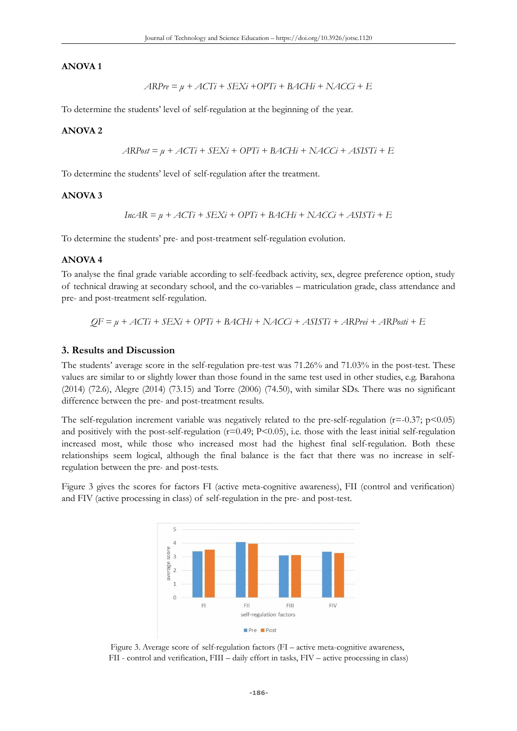#### **ANOVA 1**

$$
ARPre = \mu + ACTi + SEXi + OPTi + BACHi + NACCi + E
$$

To determine the students' level of self-regulation at the beginning of the year.

#### **ANOVA 2**

$$
ARPost = \mu + ACTi + SEXi + OPTi + BACHi + NACCi + ASISTi + E
$$

To determine the students' level of self-regulation after the treatment.

### **ANOVA 3**

$$
IncAR = \mu + ACTi + SEXi + OPTi + BACHi + NACCi + ASISTi + E
$$

To determine the students' pre- and post-treatment self-regulation evolution.

#### **ANOVA 4**

To analyse the final grade variable according to self-feedback activity, sex, degree preference option, study of technical drawing at secondary school, and the co-variables – matriculation grade, class attendance and pre- and post-treatment self-regulation.

$$
QF = \mu + ACTi + SEXi + OPTi + BACHi + NACCi + ASISTi + ARPrei + ARPosti + E
$$

#### **3. Results and Discussion**

The students' average score in the self-regulation pre-test was 71.26% and 71.03% in the post-test. These values are similar to or slightly lower than those found in the same test used in other studies, e.g. Barahona (2014) (72.6), Alegre (2014) (73.15) and Torre (2006) (74.50), with similar SDs. There was no significant difference between the pre- and post-treatment results.

The self-regulation increment variable was negatively related to the pre-self-regulation ( $r=-0.37$ ;  $p<0.05$ ) and positively with the post-self-regulation  $(r=0.49; P<0.05)$ , i.e. those with the least initial self-regulation increased most, while those who increased most had the highest final self-regulation. Both these relationships seem logical, although the final balance is the fact that there was no increase in selfregulation between the pre- and post-tests.

Figure 3 gives the scores for factors FI (active meta-cognitive awareness), FII (control and verification) and FIV (active processing in class) of self-regulation in the pre- and post-test.



Figure 3. Average score of self-regulation factors (FI – active meta-cognitive awareness, FII - control and verification, FIII – daily effort in tasks, FIV – active processing in class)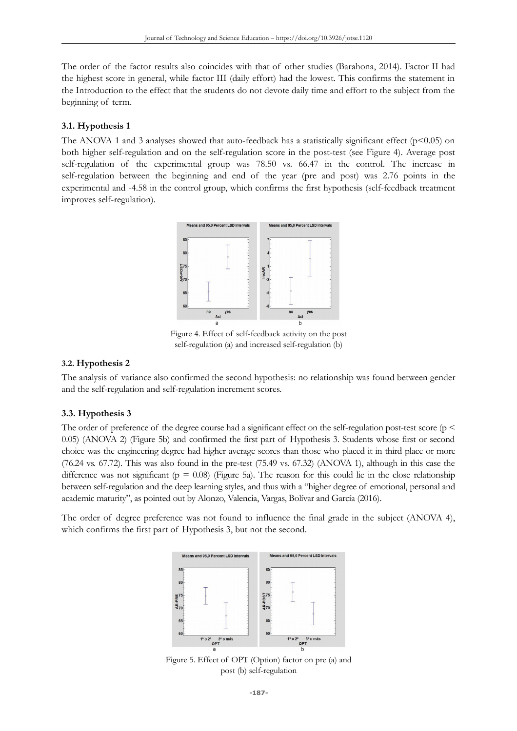The order of the factor results also coincides with that of other studies (Barahona, 2014). Factor II had the highest score in general, while factor III (daily effort) had the lowest. This confirms the statement in the Introduction to the effect that the students do not devote daily time and effort to the subject from the beginning of term.

## **3.1. Hypothesis 1**

The ANOVA 1 and 3 analyses showed that auto-feedback has a statistically significant effect ( $p$ <0.05) on both higher self-regulation and on the self-regulation score in the post-test (see Figure 4). Average post self-regulation of the experimental group was 78.50 vs. 66.47 in the control. The increase in self-regulation between the beginning and end of the year (pre and post) was 2.76 points in the experimental and -4.58 in the control group, which confirms the first hypothesis (self-feedback treatment improves self-regulation).



Figure 4. Effect of self-feedback activity on the post self-regulation (a) and increased self-regulation (b)

### **3.2. Hypothesis 2**

The analysis of variance also confirmed the second hypothesis: no relationship was found between gender and the self-regulation and self-regulation increment scores.

### **3.3. Hypothesis 3**

The order of preference of the degree course had a significant effect on the self-regulation post-test score ( $p \le$ 0.05) (ANOVA 2) (Figure 5b) and confirmed the first part of Hypothesis 3. Students whose first or second choice was the engineering degree had higher average scores than those who placed it in third place or more (76.24 vs. 67.72). This was also found in the pre-test (75.49 vs. 67.32) (ANOVA 1), although in this case the difference was not significant ( $p = 0.08$ ) (Figure 5a). The reason for this could lie in the close relationship between self-regulation and the deep learning styles, and thus with a "higher degree of emotional, personal and academic maturity", as pointed out by Alonzo, Valencia, Vargas, Bolívar and García (2016).

The order of degree preference was not found to influence the final grade in the subject (ANOVA 4), which confirms the first part of Hypothesis 3, but not the second.



Figure 5. Effect of OPT (Option) factor on pre (a) and post (b) self-regulation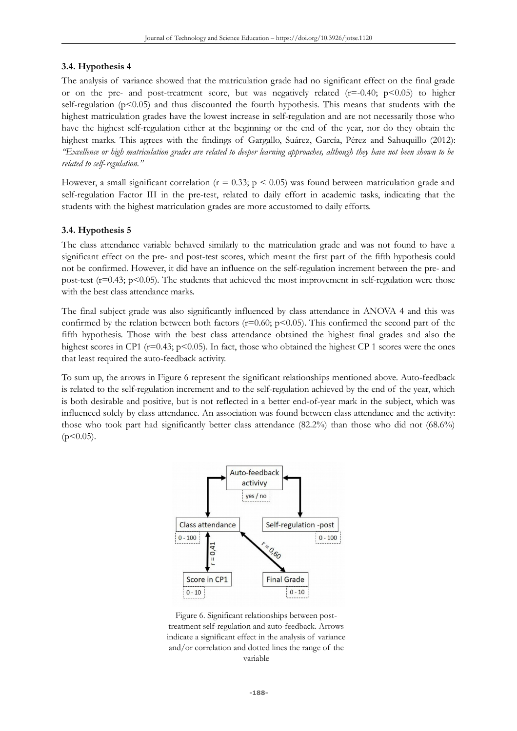## **3.4. Hypothesis 4**

The analysis of variance showed that the matriculation grade had no significant effect on the final grade or on the pre- and post-treatment score, but was negatively related  $(r=-0.40; p<0.05)$  to higher self-regulation ( $p<0.05$ ) and thus discounted the fourth hypothesis. This means that students with the highest matriculation grades have the lowest increase in self-regulation and are not necessarily those who have the highest self-regulation either at the beginning or the end of the year, nor do they obtain the highest marks. This agrees with the findings of Gargallo, Suárez, García, Pérez and Sahuquillo (2012): *"Excellence or high matriculation grades are related to deeper learning approaches, although they have not been shown to be related to self-regulation."*

However, a small significant correlation ( $r = 0.33$ ;  $p < 0.05$ ) was found between matriculation grade and self-regulation Factor III in the pre-test, related to daily effort in academic tasks, indicating that the students with the highest matriculation grades are more accustomed to daily efforts.

## **3.4. Hypothesis 5**

The class attendance variable behaved similarly to the matriculation grade and was not found to have a significant effect on the pre- and post-test scores, which meant the first part of the fifth hypothesis could not be confirmed. However, it did have an influence on the self-regulation increment between the pre- and post-test ( $r=0.43$ ;  $p<0.05$ ). The students that achieved the most improvement in self-regulation were those with the best class attendance marks.

The final subject grade was also significantly influenced by class attendance in ANOVA 4 and this was confirmed by the relation between both factors ( $r=0.60$ ;  $p<0.05$ ). This confirmed the second part of the fifth hypothesis. Those with the best class attendance obtained the highest final grades and also the highest scores in CP1 ( $r=0.43$ ;  $p<0.05$ ). In fact, those who obtained the highest CP 1 scores were the ones that least required the auto-feedback activity.

To sum up, the arrows in Figure 6 represent the significant relationships mentioned above. Auto-feedback is related to the self-regulation increment and to the self-regulation achieved by the end of the year, which is both desirable and positive, but is not reflected in a better end-of-year mark in the subject, which was influenced solely by class attendance. An association was found between class attendance and the activity: those who took part had significantly better class attendance  $(82.2\%)$  than those who did not  $(68.6\%)$  $(p<0.05)$ .



Figure 6. Significant relationships between posttreatment self-regulation and auto-feedback. Arrows indicate a significant effect in the analysis of variance and/or correlation and dotted lines the range of the variable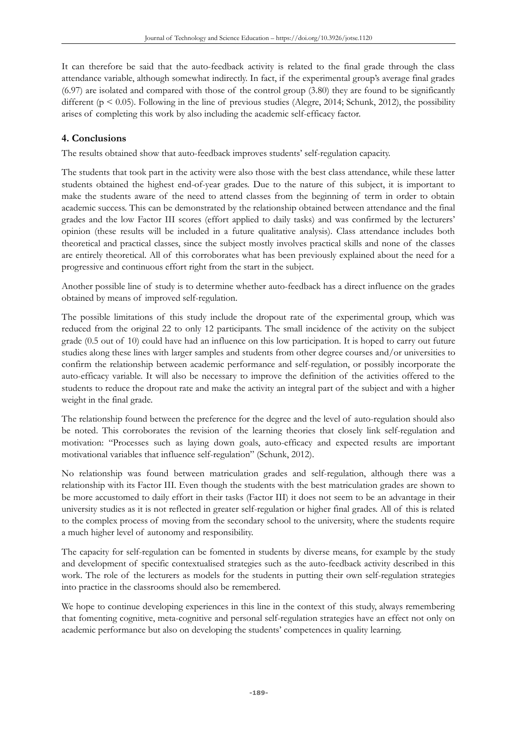It can therefore be said that the auto-feedback activity is related to the final grade through the class attendance variable, although somewhat indirectly. In fact, if the experimental group's average final grades (6.97) are isolated and compared with those of the control group (3.80) they are found to be significantly different ( $p \le 0.05$ ). Following in the line of previous studies (Alegre, 2014; Schunk, 2012), the possibility arises of completing this work by also including the academic self-efficacy factor.

# **4. Conclusions**

The results obtained show that auto-feedback improves students' self-regulation capacity.

The students that took part in the activity were also those with the best class attendance, while these latter students obtained the highest end-of-year grades. Due to the nature of this subject, it is important to make the students aware of the need to attend classes from the beginning of term in order to obtain academic success. This can be demonstrated by the relationship obtained between attendance and the final grades and the low Factor III scores (effort applied to daily tasks) and was confirmed by the lecturers' opinion (these results will be included in a future qualitative analysis). Class attendance includes both theoretical and practical classes, since the subject mostly involves practical skills and none of the classes are entirely theoretical. All of this corroborates what has been previously explained about the need for a progressive and continuous effort right from the start in the subject.

Another possible line of study is to determine whether auto-feedback has a direct influence on the grades obtained by means of improved self-regulation.

The possible limitations of this study include the dropout rate of the experimental group, which was reduced from the original 22 to only 12 participants. The small incidence of the activity on the subject grade (0.5 out of 10) could have had an influence on this low participation. It is hoped to carry out future studies along these lines with larger samples and students from other degree courses and/or universities to confirm the relationship between academic performance and self-regulation, or possibly incorporate the auto-efficacy variable. It will also be necessary to improve the definition of the activities offered to the students to reduce the dropout rate and make the activity an integral part of the subject and with a higher weight in the final grade.

The relationship found between the preference for the degree and the level of auto-regulation should also be noted. This corroborates the revision of the learning theories that closely link self-regulation and motivation: "Processes such as laying down goals, auto-efficacy and expected results are important motivational variables that influence self-regulation" (Schunk, 2012).

No relationship was found between matriculation grades and self-regulation, although there was a relationship with its Factor III. Even though the students with the best matriculation grades are shown to be more accustomed to daily effort in their tasks (Factor III) it does not seem to be an advantage in their university studies as it is not reflected in greater self-regulation or higher final grades. All of this is related to the complex process of moving from the secondary school to the university, where the students require a much higher level of autonomy and responsibility.

The capacity for self-regulation can be fomented in students by diverse means, for example by the study and development of specific contextualised strategies such as the auto-feedback activity described in this work. The role of the lecturers as models for the students in putting their own self-regulation strategies into practice in the classrooms should also be remembered.

We hope to continue developing experiences in this line in the context of this study, always remembering that fomenting cognitive, meta-cognitive and personal self-regulation strategies have an effect not only on academic performance but also on developing the students' competences in quality learning.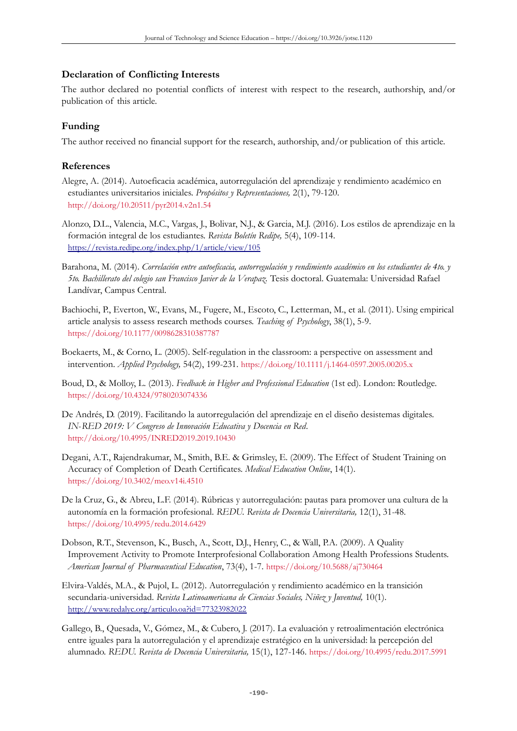## **Declaration of Conflicting Interests**

The author declared no potential conflicts of interest with respect to the research, authorship, and/or publication of this article.

# **Funding**

The author received no financial support for the research, authorship, and/or publication of this article.

# **References**

- Alegre, A. (2014). Autoeficacia académica, autorregulación del aprendizaje y rendimiento académico en estudiantes universitarios iniciales. *Propósitos y Representaciones,* 2(1), 79-120. <http://doi.org/10.20511/pyr2014.v2n1.54>
- Alonzo, D.L., Valencia, M.C., Vargas, J., Bolivar, N.J., & Garcia, M.J. (2016). Los estilos de aprendizaje en la formación integral de los estudiantes. *Revista Boletín Redipe,* 5(4), 109-114. <https://revista.redipe.org/index.php/1/article/view/105>
- Barahona, M. (2014). *Correlación entre autoeficacia, autorregulación y rendimiento académico en los estudiantes de 4to. y 5to. Bachillerato del colegio san Francisco Javier de la Verapaz.* Tesis doctoral. Guatemala: Universidad Rafael Landívar, Campus Central.
- Bachiochi, P., Everton, W., Evans, M., Fugere, M., Escoto, C., Letterman, M., et al. (2011). Using empirical article analysis to assess research methods courses. *Teaching of Psychology*, 38(1), 5-9. <https://doi.org/10.1177/0098628310387787>
- Boekaerts, M., & Corno, L. (2005). Self-regulation in the classroom: a perspective on assessment and intervention. *Applied Psychology,* 54(2), 199-231. <https://doi.org/10.1111/j.1464-0597.2005.00205.x>
- Boud, D., & Molloy, L. (2013). *Feedback in Higher and Professional Education* (1st ed). London: Routledge. <https://doi.org/10.4324/9780203074336>
- De Andrés, D. (2019). Facilitando la autorregulación del aprendizaje en el diseño desistemas digitales. *IN-RED 2019: V Congreso de Innovación Educativa y Docencia en Red*. <http://doi.org/10.4995/INRED2019.2019.10430>
- Degani, A.T., Rajendrakumar, M., Smith, B.E. & Grimsley, E. (2009). The Effect of Student Training on Accuracy of Completion of Death Certificates. *Medical Education Online*, 14(1). <https://doi.org/10.3402/meo.v14i.4510>
- De la Cruz, G., & Abreu, L.F. (2014). Rúbricas y autorregulación: pautas para promover una cultura de la autonomía en la formación profesional. *REDU. Revista de Docencia Universitaria,* 12(1), 31-48. <https://doi.org/10.4995/redu.2014.6429>
- Dobson, R.T., Stevenson, K., Busch, A., Scott, D.J., Henry, C., & Wall, P.A. (2009). A Quality Improvement Activity to Promote Interprofesional Collaboration Among Health Professions Students. *American Journal of Pharmaceutical Education*, 73(4), 1-7. <https://doi.org/10.5688/aj730464>
- Elvira-Valdés, M.A., & Pujol, L. (2012). Autorregulación y rendimiento académico en la transición secundaria-universidad. *Revista Latinoamericana de Ciencias Sociales, Niñez y Juventud,* 10(1). <http://www.redalyc.org/articulo.oa?id=77323982022>
- Gallego, B., Quesada, V., Gómez, M., & Cubero, J. (2017). La evaluación y retroalimentación electrónica entre iguales para la autorregulación y el aprendizaje estratégico en la universidad: la percepción del alumnado. *REDU. Revista de Docencia Universitaria,* 15(1), 127-146. <https://doi.org/10.4995/redu.2017.5991>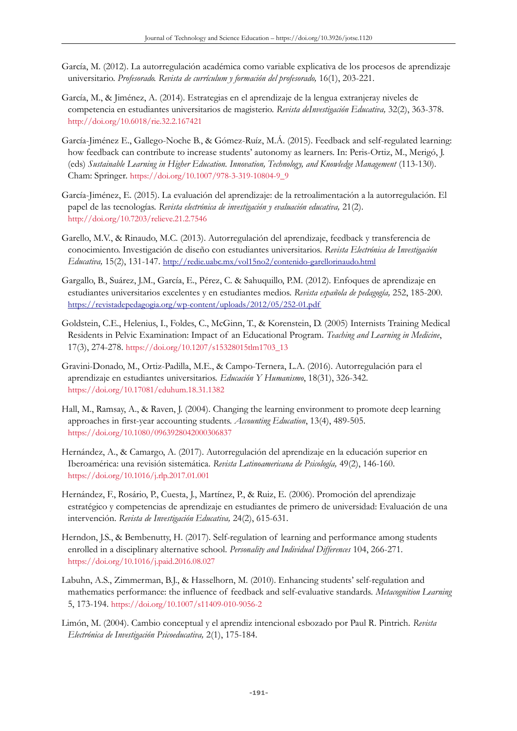- García, M. (2012). La autorregulación académica como variable explicativa de los procesos de aprendizaje universitario. *Profesorado. Revista de currículum y formación del profesorado,* 16(1), 203-221.
- García, M., & Jiménez, A. (2014). Estrategias en el aprendizaje de la lengua extranjeray niveles de competencia en estudiantes universitarios de magisterio. *Revista deInvestigación Educativa,* 32(2), 363-378. <http://doi.org/10.6018/rie.32.2.167421>
- García-Jiménez E., Gallego-Noche B., & Gómez-Ruíz, M.Á. (2015). Feedback and self-regulated learning: how feedback can contribute to increase students' autonomy as learners. In: Peris-Ortiz, M., Merigó, J. (eds) *Sustainable Learning in Higher Education. Innovation, Technology, and Knowledge Management* (113-130). Cham: Springer. [https://doi.org/10.1007/978-3-319-10804-9\\_9](https://doi.org/10.1007/978-3-319-10804-9_9)
- García-Jiménez, E. (2015). La evaluación del aprendizaje: de la retroalimentación a la autorregulación. El papel de las tecnologías. *Revista electrónica de investigación y evaluación educativa,* 21(2). <http://doi.org/10.7203/relieve.21.2.7546>
- Garello, M.V., & Rinaudo, M.C. (2013). Autorregulación del aprendizaje, feedback y transferencia de conocimiento. Investigación de diseño con estudiantes universitarios. *Revista Electrónica de Investigación Educativa,* 15(2), 131-147. <http://redie.uabc.mx/vol15no2/contenido-garellorinaudo.html>
- Gargallo, B., Suárez, J.M., García, E., Pérez, C. & Sahuquillo, P.M. (2012). Enfoques de aprendizaje en estudiantes universitarios excelentes y en estudiantes medios. *Revista española de pedagogía,* 252, 185-200. <https://revistadepedagogia.org/wp-content/uploads/2012/05/252-01.pdf>
- Goldstein, C.E., Helenius, I., Foldes, C., McGinn, T., & Korenstein, D. (2005) Internists Training Medical Residents in Pelvic Examination: Impact of an Educational Program. *Teaching and Learning in Medicine*, 17(3), 274-278. [https://doi.org/10.1207/s15328015tlm1703\\_13](https://doi.org/10.1207/s15328015tlm1703_13)
- Gravini-Donado, M., Ortiz-Padilla, M.E., & Campo-Ternera, L.A. (2016). Autorregulación para el aprendizaje en estudiantes universitarios. *Educación Y Humanismo*, 18(31), 326-342. <https://doi.org/10.17081/eduhum.18.31.1382>
- Hall, M., Ramsay, A., & Raven, J. (2004). Changing the learning environment to promote deep learning approaches in first-year accounting students. *Accounting Education*, 13(4), 489-505. <https://doi.org/10.1080/0963928042000306837>
- Hernández, A., & Camargo, A. (2017). Autorregulación del aprendizaje en la educación superior en Iberoamérica: una revisión sistemática. *Revista Latinoamericana de Psicología,* 49(2), 146-160. <https://doi.org/10.1016/j.rlp.2017.01.001>
- Hernández, F., Rosário, P., Cuesta, J., Martínez, P., & Ruiz, E. (2006). Promoción del aprendizaje estratégico y competencias de aprendizaje en estudiantes de primero de universidad: Evaluación de una intervención. *Revista de Investigación Educativa,* 24(2), 615-631.
- Herndon, J.S., & Bembenutty, H. (2017). Self-regulation of learning and performance among students enrolled in a disciplinary alternative school. *Personality and Individual Differences* 104, 266-271. <https://doi.org/10.1016/j.paid.2016.08.027>
- Labuhn, A.S., Zimmerman, B.J., & Hasselhorn, M. (2010). Enhancing students' self-regulation and mathematics performance: the influence of feedback and self-evaluative standards. *Metacognition Learning*  5, 173-194. <https://doi.org/10.1007/s11409-010-9056-2>
- Limón, M. (2004). Cambio conceptual y el aprendiz intencional esbozado por Paul R. Pintrich. *Revista Electrónica de Investigación Psicoeducativa,* 2(1), 175-184.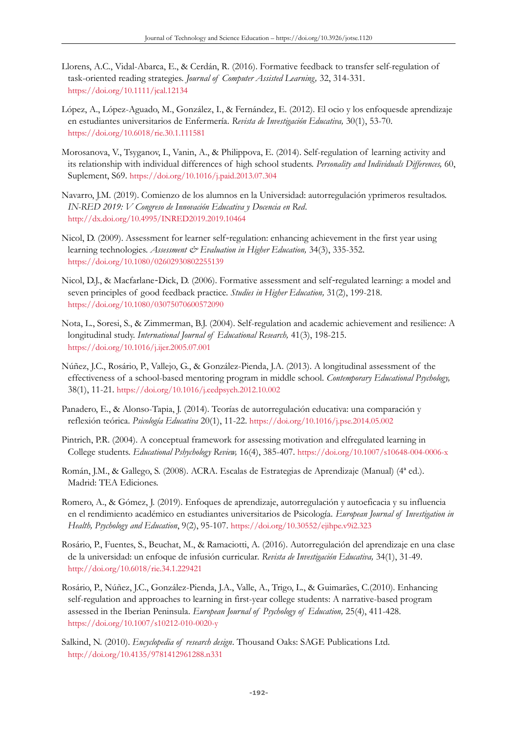- Llorens, A.C., Vidal-Abarca, E., & Cerdán, R. (2016). Formative feedback to transfer self-regulation of task-oriented reading strategies. *Journal of Computer Assisted Learning,* 32, 314-331. <https://doi.org/10.1111/jcal.12134>
- López, A., López-Aguado, M., González, I., & Fernández, E. (2012). El ocio y los enfoquesde aprendizaje en estudiantes universitarios de Enfermería. *Revista de Investigación Educativa,* 30(1), 53-70. <https://doi.org/10.6018/rie.30.1.111581>
- Morosanova, V., Tsyganov, I., Vanin, A., & Philippova, E. (2014). Self-regulation of learning activity and its relationship with individual differences of high school students. *Personality and Individuals Differences,* 60, Suplement, S69. <https://doi.org/10.1016/j.paid.2013.07.304>
- Navarro, J.M. (2019). Comienzo de los alumnos en la Universidad: autorregulación yprimeros resultados. *IN-RED 2019: V Congreso de Innovación Educativa y Docencia en Red*. <http://dx.doi.org/10.4995/INRED2019.2019.10464>
- Nicol, D. (2009). Assessment for learner self-regulation: enhancing achievement in the first year using learning technologies. *Assessment & Evaluation in Higher Education*, 34(3), 335-352. <https://doi.org/10.1080/02602930802255139>
- Nicol, D.J., & Macfarlane-Dick, D. (2006). Formative assessment and self-regulated learning: a model and seven principles of good feedback practice. *Studies in Higher Education,* 31(2), 199-218. <https://doi.org/10.1080/03075070600572090>
- Nota, L., Soresi, S., & Zimmerman, B.J. (2004). Self-regulation and academic achievement and resilience: A longitudinal study. *International Journal of Educational Research,* 41(3), 198-215. <https://doi.org/10.1016/j.ijer.2005.07.001>
- Núñez, J.C., Rosário, P., Vallejo, G., & González-Pienda, J.A. (2013). A longitudinal assessment of the effectiveness of a school-based mentoring program in middle school. *Contemporary Educational Psychology,*  38(1), 11-21. <https://doi.org/10.1016/j.cedpsych.2012.10.002>
- Panadero, E., & Alonso-Tapia, J. (2014). Teorías de autorregulación educativa: una comparación y reflexión teórica. *Psicología Educativa* 20(1), 11-22. <https://doi.org/10.1016/j.pse.2014.05.002>
- Pintrich, P.R. (2004). A conceptual framework for assessing motivation and elfregulated learning in College students. *Educational Pshychology Review,* 16(4), 385-407. <https://doi.org/10.1007/s10648-004-0006-x>
- Román, J.M., & Gallego, S. (2008). ACRA. Escalas de Estrategias de Aprendizaje (Manual) (4ª ed.). Madrid: TEA Ediciones.
- Romero, A., & Gómez, J. (2019). Enfoques de aprendizaje, autorregulación y autoeficacia y su influencia en el rendimiento académico en estudiantes universitarios de Psicología. *European Journal of Investigation in Health, Psychology and Education*, 9(2), 95-107. <https://doi.org/10.30552/ejihpe.v9i2.323>
- Rosário, P., Fuentes, S., Beuchat, M., & Ramaciotti, A. (2016). Autorregulación del aprendizaje en una clase de la universidad: un enfoque de infusión curricular. *Revista de Investigación Educativa,* 34(1), 31-49. <http://doi.org/10.6018/rie.34.1.229421>
- Rosário, P., Núñez, J.C., González-Pienda, J.A., Valle, A., Trigo, L., & Guimarães, C.(2010). Enhancing self-regulation and approaches to learning in first-year college students: A narrative-based program assessed in the Iberian Peninsula. *European Journal of Psychology of Education,* 25(4), 411-428. <https://doi.org/10.1007/s10212-010-0020-y>
- Salkind, N. (2010). *Encyclopedia of research design*. Thousand Oaks: SAGE Publications Ltd. <http://doi.org/10.4135/9781412961288.n331>